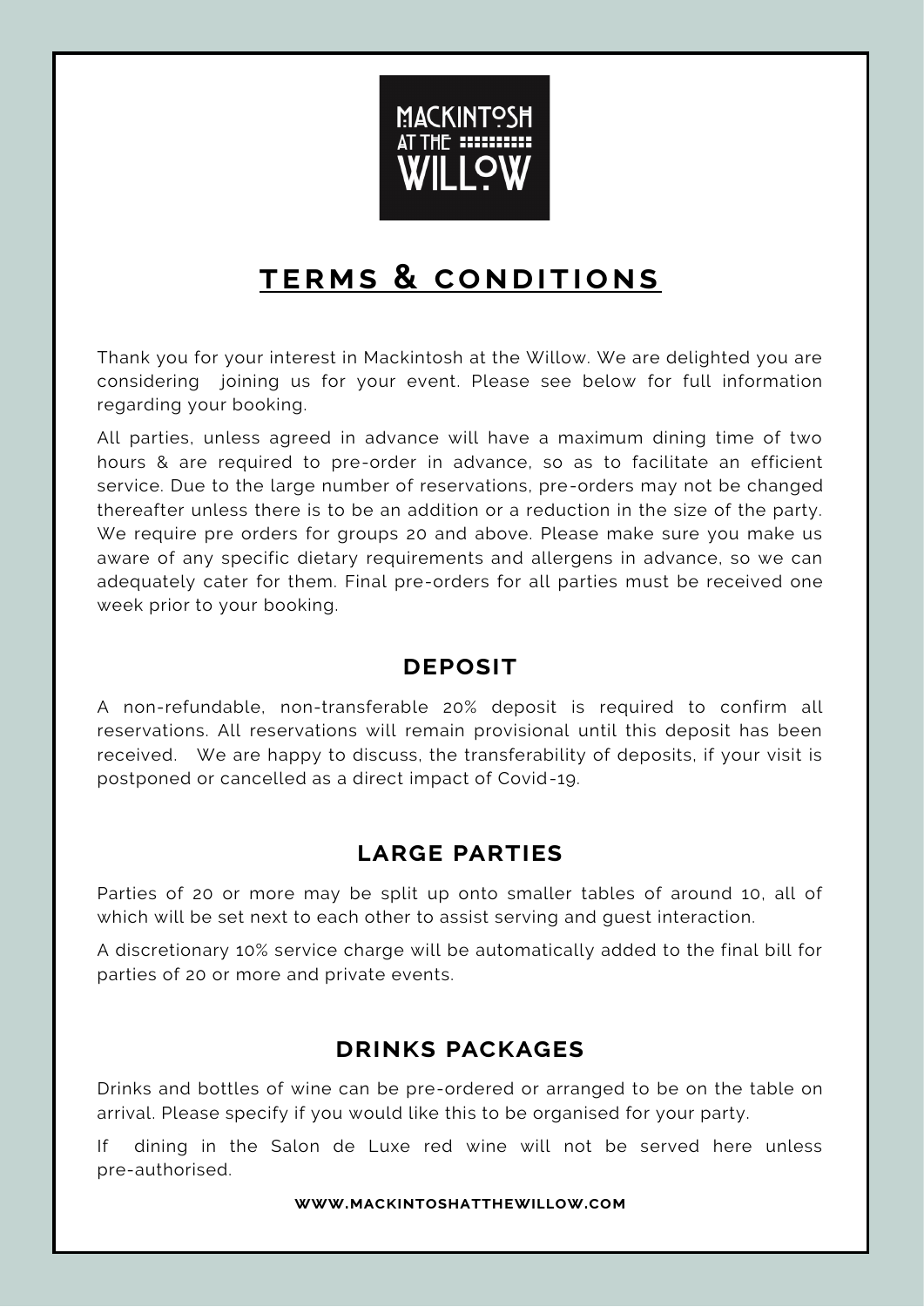

# **t e r m s & co ndit io ns**

Thank you for your interest in Mackintosh at the Willow. We are delighted you are considering joining us for your event. Please see below for full information regarding your booking.

All parties, unless agreed in advance will have a maximum dining time of two hours & are required to pre-order in advance, so as to facilitate an efficient service. Due to the large number of reservations, pre-orders may not be changed thereafter unless there is to be an addition or a reduction in the size of the party. We require pre orders for groups 20 and above. Please make sure you make us aware of any specific dietary requirements and allergens in advance, so we can adequately cater for them. Final pre-orders for all parties must be received one week prior to your booking.

### **deposit**

A non-refundable, non-transferable 20% deposit is required to confirm all reservations. All reservations will remain provisional until this deposit has been received. We are happy to discuss, the transferability of deposits, if your visit is postponed or cancelled as a direct impact of Covid-19.

### **large parties**

Parties of 20 or more may be split up onto smaller tables of around 10, all of which will be set next to each other to assist serving and guest interaction.

A discretionary 10% service charge will be automatically added to the final bill for parties of 20 or more and private events.

### **drinks packages**

Drinks and bottles of wine can be pre-ordered or arranged to be on the table on arrival. Please specify if you would like this to be organised for your party.

If dining in the Salon de Luxe red wine will not be served here unless pre-authorised.

**www.mackintoshatthewillow.com**